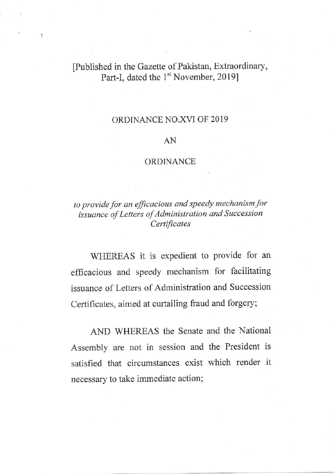## [Published in the Gazette of Pakistan, Extraordinary, Part-I, dated the 1<sup>st</sup> November, 2019]

## ORDINANCE NO.XVI OF 2019

## AN

## ORDINANCE

to provide for an efficacious and speedy mechanism for issuance of Letters of Administration and Succession Certificates

WIIEREAS it is expedient to provide for an efficacious and speedy mechanism for facilitating issuance of Letters of Administration and Succession Certificates, aimed at curtailing fraud and forgery;

AND WHEREAS the Senate and the National Assembly are not in session and the President is satisfied that circumstances exist which render it necessary to take immediate action;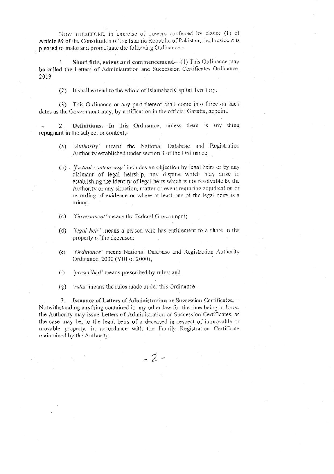NOW THEREFORE, in exercise of powers conferred by clause (1) of Article 89 of the Constitution of the Islamic Republic of Pakistan, the President is pleased to make and promulgate the following Ordinance:-

Short title, extent and commencement.-- (1) This Ordinance may  $1.$ be called the Letters of Administration and Succession Certificates Ordinance, 2019.

(2) It shall extend to the whole of Islamabad Capital Territory.

(3) This Ordinance or any part thereof shall come into force on such dates as the Government may, by notification in the official Gazette, appoint.

Definitions.—In this Ordinance, unless there is any thing 2. repugnant in the subject or context,-

- 'Authority' means the National Database and Registration  $(a)$ Authority established under section 3 of the Ordinance;
- (b) factual controversy' includes an objection by legal heirs or by any claimant of legal heirship, any dispute which may arise in establishing the identity of legal heirs which is not resolvable by the Authority or any situation, matter or event requiring adjudication or recording of evidence or where at least one of the legal heirs is a minor:
- $(c)$ 'Government' means the Federal Government;
- (d) *legal heir* 'means a person who has entitlement to a share in the property of the deceased;
- 'Ordinance' means National Database and Registration Authority  $(e)$ Ordinance, 2000 (VIII of 2000);
- 'prescribed' means prescribed by rules; and  $(f)$
- 'rules' means the rules made under this Ordinance.  $(g)$

3. Issuance of Letters of Administration or Succession Certificates.-Notwithstanding anything contained in any other law for the time being in force, the Authority may issue Letters of Administration or Succession Certificates, as the case may be, to the legal heirs of a deceased in respect of immovable or movable property, in accordance with the Family Registration Certificate maintained by the Authority.

 $-2 -$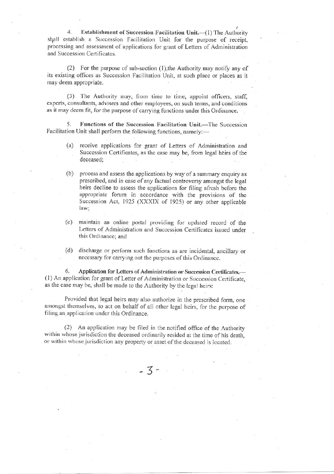$\overline{4}$ . Establishment of Succession Facilitation Unit.-(1) The Authority shall establish a Succession Facilitation Unit for the purpose of receipt, processing and assessment of applications for grant of Letters of Administration and Succession Certificates.

(2) For the purpose of sub-section (1), the Authority may notify any of its existing offices as Succession Facilitation Unit, at such place or places as it may deem appropriate.

(3) The Authority may, from time to time, appoint officers, staff, experts, consultants, advisers and other employees, on such terms, and conditions as it may deem fit, for the purpose of carrying functions under this Ordinance.

Functions of the Succession Facilitation Unit.-The Succession 5. Facilitation Unit shall perform the following functions, namely:-

- receive applications for grant of Letters of Administration and  $(a)$ Succession Certificates, as the case may be, from legal heirs of the deceased;
- process and assess the applications by way of a summary enquiry as  $(b)$ prescribed, and in case of any factual controversy amongst the legal heirs decline to assess the applications for filing afresh before the appropriate forum in accordance with the provisions of the Succession Act, 1925 (XXXIX of 1925) or any other applicable law:
- (c) maintain an online portal providing for updated record of the Letters of Administration and Succession Certificates issued under this Ordinance; and
- (d) discharge or perform such functions as are incidental, ancillary or necessary for carrying out the purposes of this Ordinance.

6. Application for Letters of Administration or Succession Certificates. (1) An application for grant of Letter of Administration or Succession Certificate, as the case may be, shall be made to the Authority by the legal heirs:

Provided that legal heirs may also authorize in the prescribed form, one amongst themselves, to act on behalf of all other legal heirs, for the purpose of filing an application under this Ordinance.

(2) An application may be filed in the notified office of the Authority within whose jurisdiction the deceased ordinarily resided at the time of his death, or within whose jurisdiction any property or asset of the deceased is located.

 $-3-$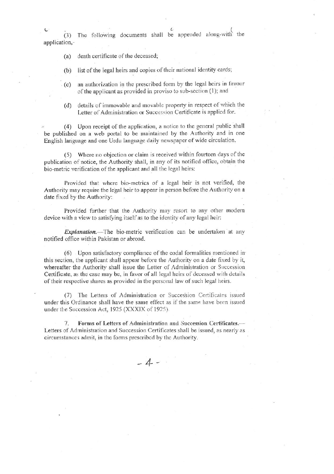$\iota$ (3) The following documents shall be appended along-with the application,-

- death certificate of the deceased;  $(a)$
- list of the legal heirs and copies of their national identity cards;  $(b)$
- an authorization in the prescribed form by the legal heirs in favour  $(c)$ of the applicant as provided in proviso to sub-section (1); and
- details of immovable and movable property in respect of which the  $(d)$ Letter of Administration or Succession Certificate is applied for.

(4) Upon receipt of the application, a notice to the general public shall be published on a web portal to be maintained by the Authority and in one English language and one Urdu language daily newspaper of wide circulation.

(5) Where no objection or claim is received within fourteen days of the publication of notice, the Authority shall, in any of its notified office, obtain the bio-metric verification of the applicant and all the legal heirs:

Provided that where bio-metrics of a legal heir is not verified, the Authority may require the legal heir to appear in person before the Authority on a date fixed by the Authority:

Provided further that the Authority may resort to any other modern device with a view to satisfying itself as to the identity of any legal heir:

Explanation.-The bio-metric verification can be undertaken at any notified office within Pakistan or abroad.

(6) Upon satisfactory compliance of the codal formalities mentioned in this section, the applicant shall appear before the Authority on a date fixed by it, whereafter the Authority shall issue the Letter of Administration or Succession Certificate, as the case may be, in favor of all legal heirs of deceased with details of their respective shares as provided in the personal law of such legal heirs.

The Letters of Administration or Succession Certificates issued under this Ordinance shall have the same effect as if the same have been issued under the Succession Act, 1925 (XXXIX of 1925).

Forms of Letters of Administration and Succession Certificates.-7. Letters of Administration and Succession Certificates shall be issued, as nearly as circumstances admit, in the forms prescribed by the Authority.

 $-4-$